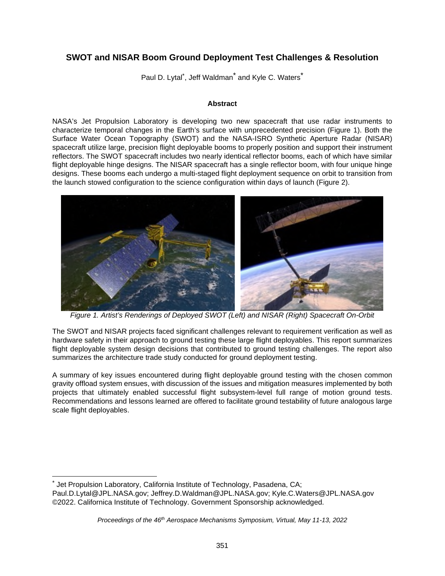# **SWOT and NISAR Boom Ground Deployment Test Challenges & Resolution**

Paul D. Lytal<sup>[\\*](#page-0-0)</sup>, Jeff Waldman<sup>\*</sup> and Kyle C. Waters<sup>\*</sup>

#### **Abstract**

NASA's Jet Propulsion Laboratory is developing two new spacecraft that use radar instruments to characterize temporal changes in the Earth's surface with unprecedented precision (Figure 1). Both the Surface Water Ocean Topography (SWOT) and the NASA-ISRO Synthetic Aperture Radar (NISAR) spacecraft utilize large, precision flight deployable booms to properly position and support their instrument reflectors. The SWOT spacecraft includes two nearly identical reflector booms, each of which have similar flight deployable hinge designs. The NISAR spacecraft has a single reflector boom, with four unique hinge designs. These booms each undergo a multi-staged flight deployment sequence on orbit to transition from the launch stowed configuration to the science configuration within days of launch (Figure 2).



*Figure 1. Artist's Renderings of Deployed SWOT (Left) and NISAR (Right) Spacecraft On-Orbit* 

The SWOT and NISAR projects faced significant challenges relevant to requirement verification as well as hardware safety in their approach to ground testing these large flight deployables. This report summarizes flight deployable system design decisions that contributed to ground testing challenges. The report also summarizes the architecture trade study conducted for ground deployment testing.

A summary of key issues encountered during flight deployable ground testing with the chosen common gravity offload system ensues, with discussion of the issues and mitigation measures implemented by both projects that ultimately enabled successful flight subsystem-level full range of motion ground tests. Recommendations and lessons learned are offered to facilitate ground testability of future analogous large scale flight deployables.

<span id="page-0-0"></span><sup>\*</sup> Jet Propulsion Laboratory, California Institute of Technology, Pasadena, CA; Paul.D.Lytal@JPL.NASA.gov; Jeffrey.D.Waldman@JPL.NASA.gov; Kyle.C.Waters@JPL.NASA.gov ©2022. Californica Institute of Technology. Government Sponsorship acknowledged.

*Proceedings of the 46th Aerospace Mechanisms Symposium, Virtual, May 11-13, 2022*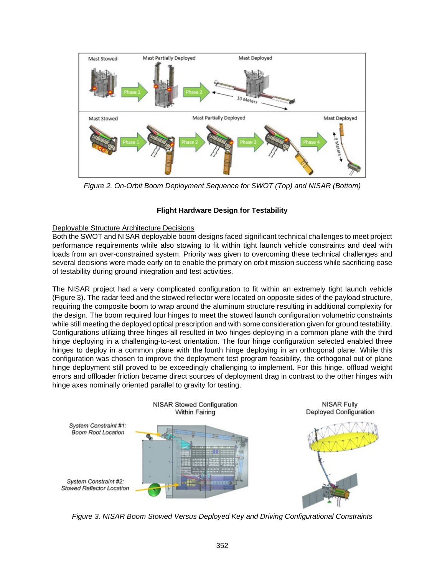

*Figure 2. On-Orbit Boom Deployment Sequence for SWOT (Top) and NISAR (Bottom)* 

# **Flight Hardware Design for Testability**

# Deployable Structure Architecture Decisions

Both the SWOT and NISAR deployable boom designs faced significant technical challenges to meet project performance requirements while also stowing to fit within tight launch vehicle constraints and deal with loads from an over-constrained system. Priority was given to overcoming these technical challenges and several decisions were made early on to enable the primary on orbit mission success while sacrificing ease of testability during ground integration and test activities.

The NISAR project had a very complicated configuration to fit within an extremely tight launch vehicle (Figure 3). The radar feed and the stowed reflector were located on opposite sides of the payload structure, requiring the composite boom to wrap around the aluminum structure resulting in additional complexity for the design. The boom required four hinges to meet the stowed launch configuration volumetric constraints while still meeting the deployed optical prescription and with some consideration given for ground testability. Configurations utilizing three hinges all resulted in two hinges deploying in a common plane with the third hinge deploying in a challenging-to-test orientation. The four hinge configuration selected enabled three hinges to deploy in a common plane with the fourth hinge deploying in an orthogonal plane. While this configuration was chosen to improve the deployment test program feasibility, the orthogonal out of plane hinge deployment still proved to be exceedingly challenging to implement. For this hinge, offload weight errors and offloader friction became direct sources of deployment drag in contrast to the other hinges with hinge axes nominally oriented parallel to gravity for testing.



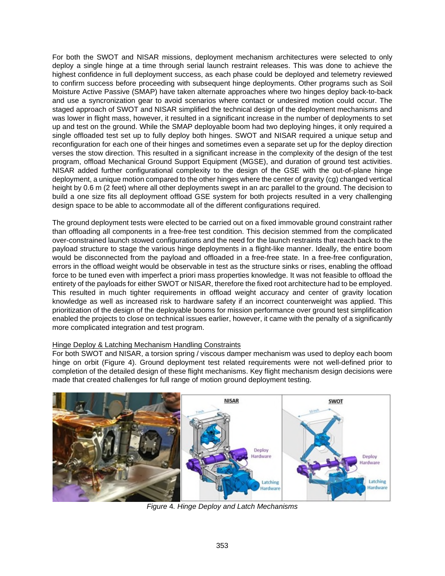For both the SWOT and NISAR missions, deployment mechanism architectures were selected to only deploy a single hinge at a time through serial launch restraint releases. This was done to achieve the highest confidence in full deployment success, as each phase could be deployed and telemetry reviewed to confirm success before proceeding with subsequent hinge deployments. Other programs such as Soil Moisture Active Passive (SMAP) have taken alternate approaches where two hinges deploy back-to-back and use a syncronization gear to avoid scenarios where contact or undesired motion could occur. The staged approach of SWOT and NISAR simplified the technical design of the deployment mechanisms and was lower in flight mass, however, it resulted in a significant increase in the number of deployments to set up and test on the ground. While the SMAP deployable boom had two deploying hinges, it only required a single offloaded test set up to fully deploy both hinges. SWOT and NISAR required a unique setup and reconfiguration for each one of their hinges and sometimes even a separate set up for the deploy direction verses the stow direction. This resulted in a significant increase in the complexity of the design of the test program, offload Mechanical Ground Support Equipment (MGSE), and duration of ground test activities. NISAR added further configurational complexity to the design of the GSE with the out-of-plane hinge deployment, a unique motion compared to the other hinges where the center of gravity (cg) changed vertical height by 0.6 m (2 feet) where all other deployments swept in an arc parallel to the ground. The decision to build a one size fits all deployment offload GSE system for both projects resulted in a very challenging design space to be able to accommodate all of the different configurations required.

The ground deployment tests were elected to be carried out on a fixed immovable ground constraint rather than offloading all components in a free-free test condition. This decision stemmed from the complicated over-constrained launch stowed configurations and the need for the launch restraints that reach back to the payload structure to stage the various hinge deployments in a flight-like manner. Ideally, the entire boom would be disconnected from the payload and offloaded in a free-free state. In a free-free configuration, errors in the offload weight would be observable in test as the structure sinks or rises, enabling the offload force to be tuned even with imperfect a priori mass properties knowledge. It was not feasible to offload the entirety of the payloads for either SWOT or NISAR, therefore the fixed root architecture had to be employed. This resulted in much tighter requirements in offload weight accuracy and center of gravity location knowledge as well as increased risk to hardware safety if an incorrect counterweight was applied. This prioritization of the design of the deployable booms for mission performance over ground test simplification enabled the projects to close on technical issues earlier, however, it came with the penalty of a significantly more complicated integration and test program.

## Hinge Deploy & Latching Mechanism Handling Constraints

For both SWOT and NISAR, a torsion spring / viscous damper mechanism was used to deploy each boom hinge on orbit (Figure 4). Ground deployment test related requirements were not well-defined prior to completion of the detailed design of these flight mechanisms. Key flight mechanism design decisions were made that created challenges for full range of motion ground deployment testing.



*Figure* 4*. Hinge Deploy and Latch Mechanisms*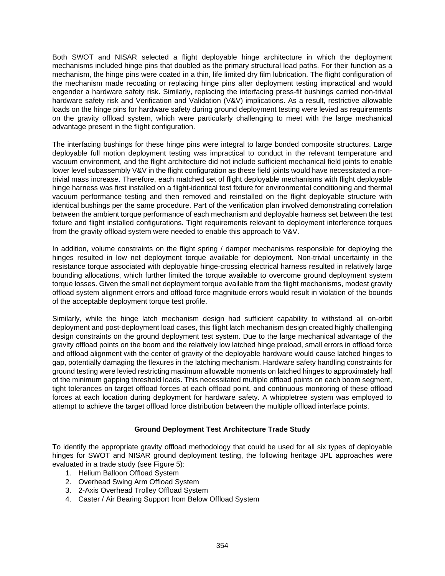Both SWOT and NISAR selected a flight deployable hinge architecture in which the deployment mechanisms included hinge pins that doubled as the primary structural load paths. For their function as a mechanism, the hinge pins were coated in a thin, life limited dry film lubrication. The flight configuration of the mechanism made recoating or replacing hinge pins after deployment testing impractical and would engender a hardware safety risk. Similarly, replacing the interfacing press-fit bushings carried non-trivial hardware safety risk and Verification and Validation (V&V) implications. As a result, restrictive allowable loads on the hinge pins for hardware safety during ground deployment testing were levied as requirements on the gravity offload system, which were particularly challenging to meet with the large mechanical advantage present in the flight configuration.

The interfacing bushings for these hinge pins were integral to large bonded composite structures. Large deployable full motion deployment testing was impractical to conduct in the relevant temperature and vacuum environment, and the flight architecture did not include sufficient mechanical field joints to enable lower level subassembly V&V in the flight configuration as these field joints would have necessitated a nontrivial mass increase. Therefore, each matched set of flight deployable mechanisms with flight deployable hinge harness was first installed on a flight-identical test fixture for environmental conditioning and thermal vacuum performance testing and then removed and reinstalled on the flight deployable structure with identical bushings per the same procedure. Part of the verification plan involved demonstrating correlation between the ambient torque performance of each mechanism and deployable harness set between the test fixture and flight installed configurations. Tight requirements relevant to deployment interference torques from the gravity offload system were needed to enable this approach to V&V.

In addition, volume constraints on the flight spring / damper mechanisms responsible for deploying the hinges resulted in low net deployment torque available for deployment. Non-trivial uncertainty in the resistance torque associated with deployable hinge-crossing electrical harness resulted in relatively large bounding allocations, which further limited the torque available to overcome ground deployment system torque losses. Given the small net deployment torque available from the flight mechanisms, modest gravity offload system alignment errors and offload force magnitude errors would result in violation of the bounds of the acceptable deployment torque test profile.

Similarly, while the hinge latch mechanism design had sufficient capability to withstand all on-orbit deployment and post-deployment load cases, this flight latch mechanism design created highly challenging design constraints on the ground deployment test system. Due to the large mechanical advantage of the gravity offload points on the boom and the relatively low latched hinge preload, small errors in offload force and offload alignment with the center of gravity of the deployable hardware would cause latched hinges to gap, potentially damaging the flexures in the latching mechanism. Hardware safety handling constraints for ground testing were levied restricting maximum allowable moments on latched hinges to approximately half of the minimum gapping threshold loads. This necessitated multiple offload points on each boom segment, tight tolerances on target offload forces at each offload point, and continuous monitoring of these offload forces at each location during deployment for hardware safety. A whippletree system was employed to attempt to achieve the target offload force distribution between the multiple offload interface points.

## **Ground Deployment Test Architecture Trade Study**

To identify the appropriate gravity offload methodology that could be used for all six types of deployable hinges for SWOT and NISAR ground deployment testing, the following heritage JPL approaches were evaluated in a trade study (see Figure 5):

- 1. Helium Balloon Offload System
- 2. Overhead Swing Arm Offload System
- 3. 2-Axis Overhead Trolley Offload System
- 4. Caster / Air Bearing Support from Below Offload System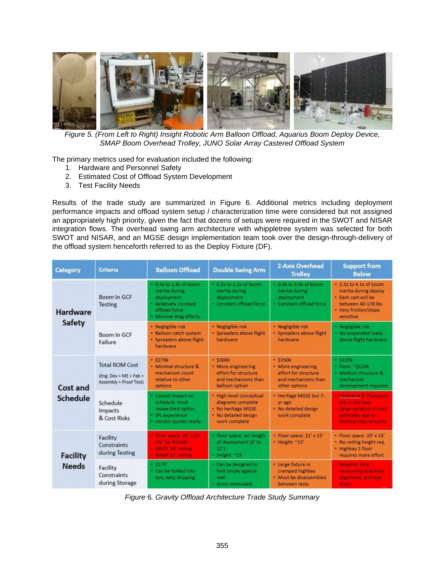

*Figure 5. (From Left to Right) Insight Robotic Arm Balloon Offload, Aquarius Boom Deploy Device, SMAP Boom Overhead Trolley, JUNO Solar Array Castered Offload System* 

The primary metrics used for evaluation included the following:

- 1. Hardware and Personnel Safety
- 2. Estimated Cost of Offload System Development
- 3. Test Facility Needs

Results of the trade study are summarized in Figure 6. Additional metrics including deployment performance impacts and offload system setup / characterization time were considered but not assigned an appropriately high priority, given the fact that dozens of setups were required in the SWOT and NISAR integration flows. The overhead swing arm architecture with whippletree system was selected for both SWOT and NISAR, and an MGSE design implementation team took over the design-through-delivery of the offload system henceforth referred to as the Deploy Fixture (DF).

| <b>Category</b>                  | <b>Criteria</b>                                                             | <b>Balloon Offload</b>                                                                                                     | <b>Double Swing Arm</b>                                                                                     | 2-Axis Overhead<br><b>Trolley</b>                                                                   | <b>Support from</b><br><b>Below</b>                                                                                                |
|----------------------------------|-----------------------------------------------------------------------------|----------------------------------------------------------------------------------------------------------------------------|-------------------------------------------------------------------------------------------------------------|-----------------------------------------------------------------------------------------------------|------------------------------------------------------------------------------------------------------------------------------------|
| <b>Hardware</b><br><b>Safety</b> | Boom in GCF<br>Testing                                                      | * 0.5x to 1.8x of boom<br>inertia during<br>deployment<br>· Relatively constant<br>offload force<br>· Minimal drag effects | * 0.5x to 1.3x of boom<br>inertia during<br>deployment<br>· Constant offload force                          | $-0.4x$ to 5.0x of boom<br>inertia during<br>deployment<br>· Constant offload force                 | * 2.3x to 4.1x of boom<br>inertia during deploy<br>* Each cart will be<br>between 40-170 lbs<br>• Very friction/slope<br>sensitive |
|                                  | Boom in GCF<br>Failure                                                      | · Negligible risk<br>· Balloon catch system<br>· Spreaders above flight<br>hardware                                        | · Negligible risk<br>· Spreaders above flight<br>hardware                                                   | · Negligible risk<br>· Spreaders above flight<br>hardware                                           | · Negligible risk<br>. No suspended loads<br>above flight hardware                                                                 |
| Cost and<br><b>Schedule</b>      | <b>Total ROM Cost</b><br>$(Eng. Dev + ME + Fab +$<br>Assembly + Proof Test) | $-$ \$270 $k$<br>· Minimal structure &<br>mechanism count<br>relative to other<br>options                                  | $-$ \$300 $k$<br>• More engineering<br>effort for structure<br>and mechanisms than<br>balloon option        | $-$ \$350 $k$<br>• More engineering<br>effort for structure<br>and mechanisms than<br>other options | $-$ S225k<br>• Floor: ~\$120k<br>· Medium structure &<br>mechanism<br>development required                                         |
|                                  | Schedule<br>Impacts<br>& Cost Risks                                         | · Lowest impact on<br>schedule, most<br>researched option<br>* JPL experience<br>• Vendor quotes ready                     | · High-level conceptual<br>diagrams complete<br>. No heritage MGSE<br>. No detailed design<br>work complete | · Heritage MGSE but 7-<br>yr ago<br>· No detailed design<br>work complete                           | Equational & Thomason<br>are in the loop.<br>Large variation in cost.<br>estimates due to:<br><b>Stycking requirements</b>         |
| <b>Facility</b><br><b>Needs</b>  | Facility<br>Constraints<br>during Testing                                   | · Finan space, 30' x 30'<br>142 <sup>' for</sup> NISARI<br>· SWOT 34 celling<br>· NISAN 22' celling                        | · Floor space: arc length<br>of deployment (3' to<br>12'<br>· Height ~15'                                   | · Floor space: 21' x 15'<br>· Height: ~15'                                                          | · Floor space: 20' x 16'<br>. No ceiling height req.<br>· Highbay 2 floor<br>requires more effort                                  |
|                                  | Facility<br>Constraints<br>during Storage                                   | $-2283$<br>. Can be folded into<br>box, easy shipping                                                                      | . Can be designed to<br>fold simply against<br>wall<br>* Arms removable                                     | • Large fixture in<br>cramped highbay<br>• Must be disassembled<br>between tests                    | · Requires time<br>consuming assembly.<br>alignment, and tear<br><b>BOWM</b>                                                       |

*Figure* 6*. Gravity Offload Architecture Trade Study Summary*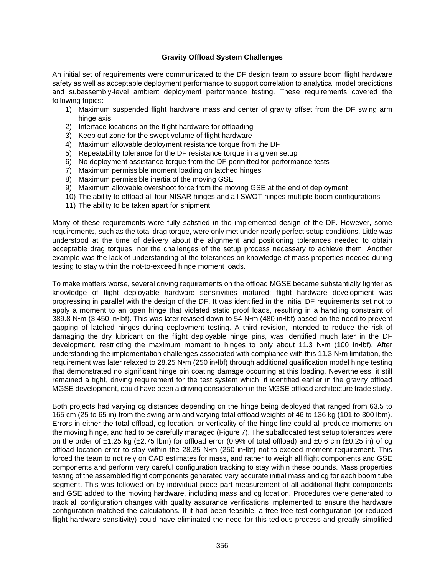#### **Gravity Offload System Challenges**

An initial set of requirements were communicated to the DF design team to assure boom flight hardware safety as well as acceptable deployment performance to support correlation to analytical model predictions and subassembly-level ambient deployment performance testing. These requirements covered the following topics:

- 1) Maximum suspended flight hardware mass and center of gravity offset from the DF swing arm hinge axis
- 2) Interface locations on the flight hardware for offloading
- 3) Keep out zone for the swept volume of flight hardware
- 4) Maximum allowable deployment resistance torque from the DF
- 5) Repeatability tolerance for the DF resistance torque in a given setup
- 6) No deployment assistance torque from the DF permitted for performance tests
- 7) Maximum permissible moment loading on latched hinges
- 8) Maximum permissible inertia of the moving GSE
- 9) Maximum allowable overshoot force from the moving GSE at the end of deployment
- 10) The ability to offload all four NISAR hinges and all SWOT hinges multiple boom configurations
- 11) The ability to be taken apart for shipment

Many of these requirements were fully satisfied in the implemented design of the DF. However, some requirements, such as the total drag torque, were only met under nearly perfect setup conditions. Little was understood at the time of delivery about the alignment and positioning tolerances needed to obtain acceptable drag torques, nor the challenges of the setup process necessary to achieve them. Another example was the lack of understanding of the tolerances on knowledge of mass properties needed during testing to stay within the not-to-exceed hinge moment loads.

To make matters worse, several driving requirements on the offload MGSE became substantially tighter as knowledge of flight deployable hardware sensitivities matured; flight hardware development was progressing in parallel with the design of the DF. It was identified in the initial DF requirements set not to apply a moment to an open hinge that violated static proof loads, resulting in a handling constraint of 389.8 N•m (3,450 in•lbf). This was later revised down to 54 N•m (480 in•lbf) based on the need to prevent gapping of latched hinges during deployment testing. A third revision, intended to reduce the risk of damaging the dry lubricant on the flight deployable hinge pins, was identified much later in the DF development, restricting the maximum moment to hinges to only about 11.3 N•m (100 in•lbf). After understanding the implementation challenges associated with compliance with this 11.3 N•m limitation, the requirement was later relaxed to 28.25 N•m (250 in•lbf) through additional qualification model hinge testing that demonstrated no significant hinge pin coating damage occurring at this loading. Nevertheless, it still remained a tight, driving requirement for the test system which, if identified earlier in the gravity offload MGSE development, could have been a driving consideration in the MGSE offload architecture trade study.

Both projects had varying cg distances depending on the hinge being deployed that ranged from 63.5 to 165 cm (25 to 65 in) from the swing arm and varying total offload weights of 46 to 136 kg (101 to 300 lbm). Errors in either the total offload, cg location, or verticality of the hinge line could all produce moments on the moving hinge, and had to be carefully managed (Figure 7). The suballocated test setup tolerances were on the order of  $\pm$ 1.25 kg ( $\pm$ 2.75 lbm) for offload error (0.9% of total offload) and  $\pm$ 0.6 cm ( $\pm$ 0.25 in) of cg offload location error to stay within the 28.25 N•m (250 in•lbf) not-to-exceed moment requirement. This forced the team to not rely on CAD estimates for mass, and rather to weigh all flight components and GSE components and perform very careful configuration tracking to stay within these bounds. Mass properties testing of the assembled flight components generated very accurate initial mass and cg for each boom tube segment. This was followed on by individual piece part measurement of all additional flight components and GSE added to the moving hardware, including mass and cg location. Procedures were generated to track all configuration changes with quality assurance verifications implemented to ensure the hardware configuration matched the calculations. If it had been feasible, a free-free test configuration (or reduced flight hardware sensitivity) could have eliminated the need for this tedious process and greatly simplified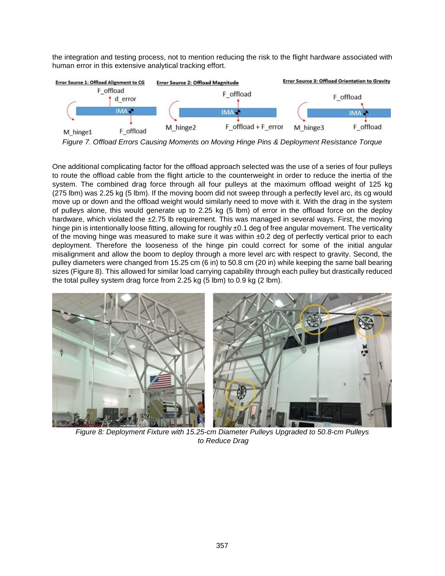the integration and testing process, not to mention reducing the risk to the flight hardware associated with human error in this extensive analytical tracking effort.



*Figure 7. Offload Errors Causing Moments on Moving Hinge Pins & Deployment Resistance Torque* 

One additional complicating factor for the offload approach selected was the use of a series of four pulleys to route the offload cable from the flight article to the counterweight in order to reduce the inertia of the system. The combined drag force through all four pulleys at the maximum offload weight of 125 kg (275 lbm) was 2.25 kg (5 lbm). If the moving boom did not sweep through a perfectly level arc, its cg would move up or down and the offload weight would similarly need to move with it. With the drag in the system of pulleys alone, this would generate up to 2.25 kg (5 lbm) of error in the offload force on the deploy hardware, which violated the ±2.75 lb requirement. This was managed in several ways. First, the moving hinge pin is intentionally loose fitting, allowing for roughly ±0.1 deg of free angular movement. The verticality of the moving hinge was measured to make sure it was within ±0.2 deg of perfectly vertical prior to each deployment. Therefore the looseness of the hinge pin could correct for some of the initial angular misalignment and allow the boom to deploy through a more level arc with respect to gravity. Second, the pulley diameters were changed from 15.25 cm (6 in) to 50.8 cm (20 in) while keeping the same ball bearing sizes (Figure 8). This allowed for similar load carrying capability through each pulley but drastically reduced the total pulley system drag force from 2.25 kg (5 lbm) to 0.9 kg (2 lbm).



*Figure 8: Deployment Fixture with 15.25-cm Diameter Pulleys Upgraded to 50.8-cm Pulleys to Reduce Drag*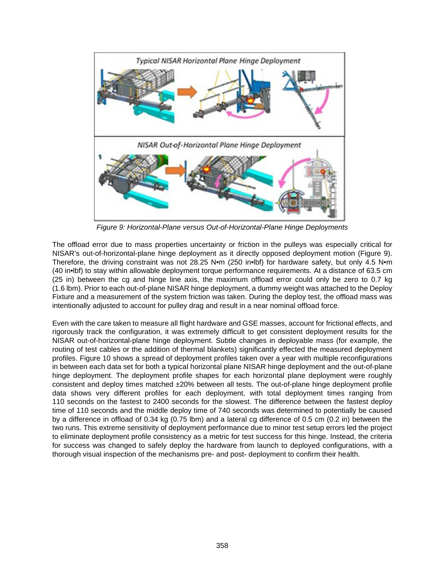

*Figure 9: Horizontal-Plane versus Out-of-Horizontal-Plane Hinge Deployments*

The offload error due to mass properties uncertainty or friction in the pulleys was especially critical for NISAR's out-of-horizontal-plane hinge deployment as it directly opposed deployment motion (Figure 9). Therefore, the driving constraint was not 28.25 N•m (250 in•lbf) for hardware safety, but only 4.5 N•m (40 in•lbf) to stay within allowable deployment torque performance requirements. At a distance of 63.5 cm (25 in) between the cg and hinge line axis, the maximum offload error could only be zero to 0.7 kg (1.6 lbm). Prior to each out-of-plane NISAR hinge deployment, a dummy weight was attached to the Deploy Fixture and a measurement of the system friction was taken. During the deploy test, the offload mass was intentionally adjusted to account for pulley drag and result in a near nominal offload force.

Even with the care taken to measure all flight hardware and GSE masses, account for frictional effects, and rigorously track the configuration, it was extremely difficult to get consistent deployment results for the NISAR out-of-horizontal-plane hinge deployment. Subtle changes in deployable mass (for example, the routing of test cables or the addition of thermal blankets) significantly effected the measured deployment profiles. Figure 10 shows a spread of deployment profiles taken over a year with multiple reconfigurations in between each data set for both a typical horizontal plane NISAR hinge deployment and the out-of-plane hinge deployment. The deployment profile shapes for each horizontal plane deployment were roughly consistent and deploy times matched ±20% between all tests. The out-of-plane hinge deployment profile data shows very different profiles for each deployment, with total deployment times ranging from 110 seconds on the fastest to 2400 seconds for the slowest. The difference between the fastest deploy time of 110 seconds and the middle deploy time of 740 seconds was determined to potentially be caused by a difference in offload of 0.34 kg (0.75 lbm) and a lateral cg difference of 0.5 cm (0.2 in) between the two runs. This extreme sensitivity of deployment performance due to minor test setup errors led the project to eliminate deployment profile consistency as a metric for test success for this hinge. Instead, the criteria for success was changed to safely deploy the hardware from launch to deployed configurations, with a thorough visual inspection of the mechanisms pre- and post- deployment to confirm their health.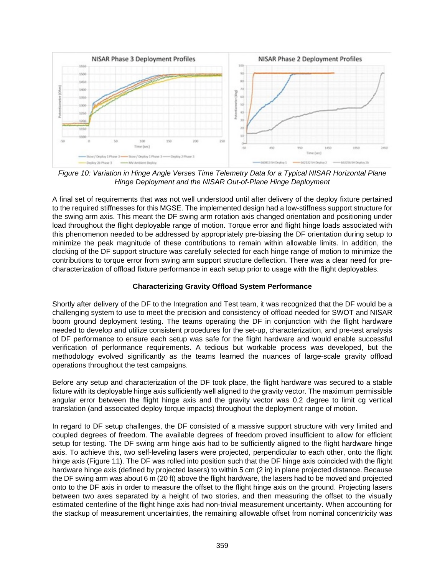

*Figure 10: Variation in Hinge Angle Verses Time Telemetry Data for a Typical NISAR Horizontal Plane Hinge Deployment and the NISAR Out-of-Plane Hinge Deployment* 

A final set of requirements that was not well understood until after delivery of the deploy fixture pertained to the required stiffnesses for this MGSE. The implemented design had a low-stiffness support structure for the swing arm axis. This meant the DF swing arm rotation axis changed orientation and positioning under load throughout the flight deployable range of motion. Torque error and flight hinge loads associated with this phenomenon needed to be addressed by appropriately pre-biasing the DF orientation during setup to minimize the peak magnitude of these contributions to remain within allowable limits. In addition, the clocking of the DF support structure was carefully selected for each hinge range of motion to minimize the contributions to torque error from swing arm support structure deflection. There was a clear need for precharacterization of offload fixture performance in each setup prior to usage with the flight deployables.

## **Characterizing Gravity Offload System Performance**

Shortly after delivery of the DF to the Integration and Test team, it was recognized that the DF would be a challenging system to use to meet the precision and consistency of offload needed for SWOT and NISAR boom ground deployment testing. The teams operating the DF in conjunction with the flight hardware needed to develop and utilize consistent procedures for the set-up, characterization, and pre-test analysis of DF performance to ensure each setup was safe for the flight hardware and would enable successful verification of performance requirements. A tedious but workable process was developed, but the methodology evolved significantly as the teams learned the nuances of large-scale gravity offload operations throughout the test campaigns.

Before any setup and characterization of the DF took place, the flight hardware was secured to a stable fixture with its deployable hinge axis sufficiently well aligned to the gravity vector. The maximum permissible angular error between the flight hinge axis and the gravity vector was 0.2 degree to limit cg vertical translation (and associated deploy torque impacts) throughout the deployment range of motion.

In regard to DF setup challenges, the DF consisted of a massive support structure with very limited and coupled degrees of freedom. The available degrees of freedom proved insufficient to allow for efficient setup for testing. The DF swing arm hinge axis had to be sufficiently aligned to the flight hardware hinge axis. To achieve this, two self-leveling lasers were projected, perpendicular to each other, onto the flight hinge axis (Figure 11). The DF was rolled into position such that the DF hinge axis coincided with the flight hardware hinge axis (defined by projected lasers) to within 5 cm (2 in) in plane projected distance. Because the DF swing arm was about 6 m (20 ft) above the flight hardware, the lasers had to be moved and projected onto to the DF axis in order to measure the offset to the flight hinge axis on the ground. Projecting lasers between two axes separated by a height of two stories, and then measuring the offset to the visually estimated centerline of the flight hinge axis had non-trivial measurement uncertainty. When accounting for the stackup of measurement uncertainties, the remaining allowable offset from nominal concentricity was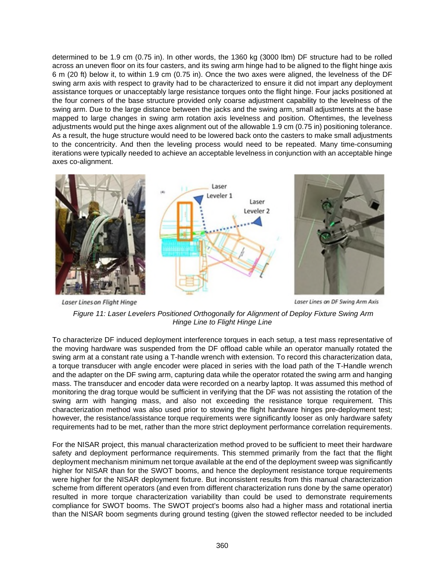determined to be 1.9 cm (0.75 in). In other words, the 1360 kg (3000 lbm) DF structure had to be rolled across an uneven floor on its four casters, and its swing arm hinge had to be aligned to the flight hinge axis 6 m (20 ft) below it, to within 1.9 cm (0.75 in). Once the two axes were aligned, the levelness of the DF swing arm axis with respect to gravity had to be characterized to ensure it did not impart any deployment assistance torques or unacceptably large resistance torques onto the flight hinge. Four jacks positioned at the four corners of the base structure provided only coarse adjustment capability to the levelness of the swing arm. Due to the large distance between the jacks and the swing arm, small adjustments at the base mapped to large changes in swing arm rotation axis levelness and position. Oftentimes, the levelness adjustments would put the hinge axes alignment out of the allowable 1.9 cm (0.75 in) positioning tolerance. As a result, the huge structure would need to be lowered back onto the casters to make small adjustments to the concentricity. And then the leveling process would need to be repeated. Many time-consuming iterations were typically needed to achieve an acceptable levelness in conjunction with an acceptable hinge axes co-alignment.



Laser Lines on DF Swing Arm Axis

*Figure 11: Laser Levelers Positioned Orthogonally for Alignment of Deploy Fixture Swing Arm Hinge Line to Flight Hinge Line* 

**Laser Lines on Flight Hinge** 

To characterize DF induced deployment interference torques in each setup, a test mass representative of the moving hardware was suspended from the DF offload cable while an operator manually rotated the swing arm at a constant rate using a T-handle wrench with extension. To record this characterization data, a torque transducer with angle encoder were placed in series with the load path of the T-Handle wrench and the adapter on the DF swing arm, capturing data while the operator rotated the swing arm and hanging mass. The transducer and encoder data were recorded on a nearby laptop. It was assumed this method of monitoring the drag torque would be sufficient in verifying that the DF was not assisting the rotation of the swing arm with hanging mass, and also not exceeding the resistance torque requirement. This characterization method was also used prior to stowing the flight hardware hinges pre-deployment test; however, the resistance/assistance torque requirements were significantly looser as only hardware safety requirements had to be met, rather than the more strict deployment performance correlation requirements.

For the NISAR project, this manual characterization method proved to be sufficient to meet their hardware safety and deployment performance requirements. This stemmed primarily from the fact that the flight deployment mechanism minimum net torque available at the end of the deployment sweep was significantly higher for NISAR than for the SWOT booms, and hence the deployment resistance torque requirements were higher for the NISAR deployment fixture. But inconsistent results from this manual characterization scheme from different operators (and even from different characterization runs done by the same operator) resulted in more torque characterization variability than could be used to demonstrate requirements compliance for SWOT booms. The SWOT project's booms also had a higher mass and rotational inertia than the NISAR boom segments during ground testing (given the stowed reflector needed to be included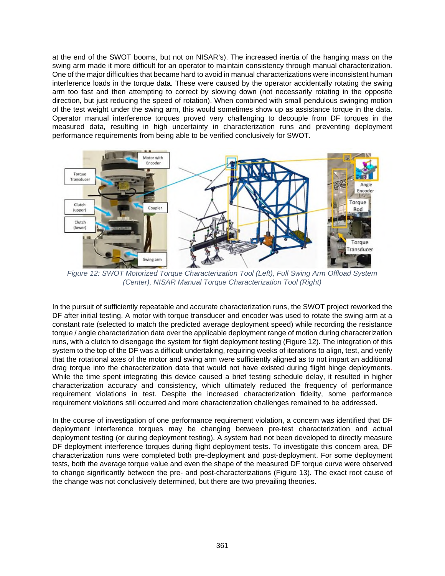at the end of the SWOT booms, but not on NISAR's). The increased inertia of the hanging mass on the swing arm made it more difficult for an operator to maintain consistency through manual characterization. One of the major difficulties that became hard to avoid in manual characterizations were inconsistent human interference loads in the torque data. These were caused by the operator accidentally rotating the swing arm too fast and then attempting to correct by slowing down (not necessarily rotating in the opposite direction, but just reducing the speed of rotation). When combined with small pendulous swinging motion of the test weight under the swing arm, this would sometimes show up as assistance torque in the data. Operator manual interference torques proved very challenging to decouple from DF torques in the measured data, resulting in high uncertainty in characterization runs and preventing deployment performance requirements from being able to be verified conclusively for SWOT.



*Figure 12: SWOT Motorized Torque Characterization Tool (Left), Full Swing Arm Offload System (Center), NISAR Manual Torque Characterization Tool (Right)* 

In the pursuit of sufficiently repeatable and accurate characterization runs, the SWOT project reworked the DF after initial testing. A motor with torque transducer and encoder was used to rotate the swing arm at a constant rate (selected to match the predicted average deployment speed) while recording the resistance torque / angle characterization data over the applicable deployment range of motion during characterization runs, with a clutch to disengage the system for flight deployment testing (Figure 12). The integration of this system to the top of the DF was a difficult undertaking, requiring weeks of iterations to align, test, and verify that the rotational axes of the motor and swing arm were sufficiently aligned as to not impart an additional drag torque into the characterization data that would not have existed during flight hinge deployments. While the time spent integrating this device caused a brief testing schedule delay, it resulted in higher characterization accuracy and consistency, which ultimately reduced the frequency of performance requirement violations in test. Despite the increased characterization fidelity, some performance requirement violations still occurred and more characterization challenges remained to be addressed.

In the course of investigation of one performance requirement violation, a concern was identified that DF deployment interference torques may be changing between pre-test characterization and actual deployment testing (or during deployment testing). A system had not been developed to directly measure DF deployment interference torques during flight deployment tests. To investigate this concern area, DF characterization runs were completed both pre-deployment and post-deployment. For some deployment tests, both the average torque value and even the shape of the measured DF torque curve were observed to change significantly between the pre- and post-characterizations (Figure 13). The exact root cause of the change was not conclusively determined, but there are two prevailing theories.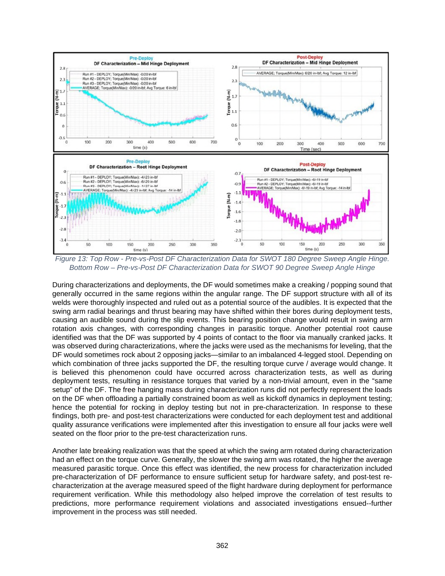

*Figure 13: Top Row - Pre-vs-Post DF Characterization Data for SWOT 180 Degree Sweep Angle Hinge. Bottom Row – Pre-vs-Post DF Characterization Data for SWOT 90 Degree Sweep Angle Hinge* 

During characterizations and deployments, the DF would sometimes make a creaking / popping sound that generally occurred in the same regions within the angular range. The DF support structure with all of its welds were thoroughly inspected and ruled out as a potential source of the audibles. It is expected that the swing arm radial bearings and thrust bearing may have shifted within their bores during deployment tests, causing an audible sound during the slip events. This bearing position change would result in swing arm rotation axis changes, with corresponding changes in parasitic torque. Another potential root cause identified was that the DF was supported by 4 points of contact to the floor via manually cranked jacks. It was observed during characterizations, where the jacks were used as the mechanisms for leveling, that the DF would sometimes rock about 2 opposing jacks—similar to an imbalanced 4-legged stool. Depending on which combination of three jacks supported the DF, the resulting torque curve / average would change. It is believed this phenomenon could have occurred across characterization tests, as well as during deployment tests, resulting in resistance torques that varied by a non-trivial amount, even in the "same setup" of the DF. The free hanging mass during characterization runs did not perfectly represent the loads on the DF when offloading a partially constrained boom as well as kickoff dynamics in deployment testing; hence the potential for rocking in deploy testing but not in pre-characterization. In response to these findings, both pre- and post-test characterizations were conducted for each deployment test and additional quality assurance verifications were implemented after this investigation to ensure all four jacks were well seated on the floor prior to the pre-test characterization runs.

Another late breaking realization was that the speed at which the swing arm rotated during characterization had an effect on the torque curve. Generally, the slower the swing arm was rotated, the higher the average measured parasitic torque. Once this effect was identified, the new process for characterization included pre-characterization of DF performance to ensure sufficient setup for hardware safety, and post-test recharacterization at the average measured speed of the flight hardware during deployment for performance requirement verification. While this methodology also helped improve the correlation of test results to predictions, more performance requirement violations and associated investigations ensued--further improvement in the process was still needed.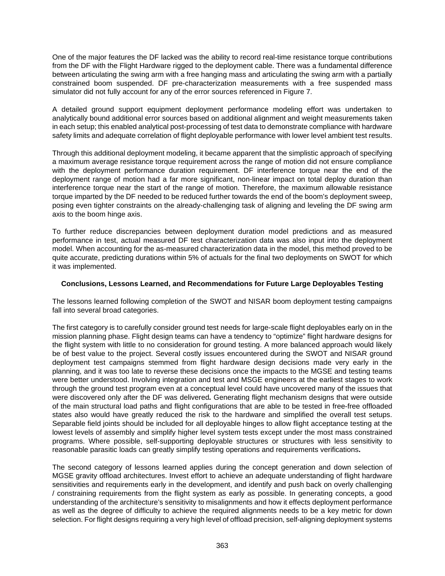One of the major features the DF lacked was the ability to record real-time resistance torque contributions from the DF with the Flight Hardware rigged to the deployment cable. There was a fundamental difference between articulating the swing arm with a free hanging mass and articulating the swing arm with a partially constrained boom suspended. DF pre-characterization measurements with a free suspended mass simulator did not fully account for any of the error sources referenced in Figure 7.

A detailed ground support equipment deployment performance modeling effort was undertaken to analytically bound additional error sources based on additional alignment and weight measurements taken in each setup; this enabled analytical post-processing of test data to demonstrate compliance with hardware safety limits and adequate correlation of flight deployable performance with lower level ambient test results.

Through this additional deployment modeling, it became apparent that the simplistic approach of specifying a maximum average resistance torque requirement across the range of motion did not ensure compliance with the deployment performance duration requirement. DF interference torque near the end of the deployment range of motion had a far more significant, non-linear impact on total deploy duration than interference torque near the start of the range of motion. Therefore, the maximum allowable resistance torque imparted by the DF needed to be reduced further towards the end of the boom's deployment sweep, posing even tighter constraints on the already-challenging task of aligning and leveling the DF swing arm axis to the boom hinge axis.

To further reduce discrepancies between deployment duration model predictions and as measured performance in test, actual measured DF test characterization data was also input into the deployment model. When accounting for the as-measured characterization data in the model, this method proved to be quite accurate, predicting durations within 5% of actuals for the final two deployments on SWOT for which it was implemented.

#### **Conclusions, Lessons Learned, and Recommendations for Future Large Deployables Testing**

The lessons learned following completion of the SWOT and NISAR boom deployment testing campaigns fall into several broad categories.

The first category is to carefully consider ground test needs for large-scale flight deployables early on in the mission planning phase. Flight design teams can have a tendency to "optimize" flight hardware designs for the flight system with little to no consideration for ground testing. A more balanced approach would likely be of best value to the project. Several costly issues encountered during the SWOT and NISAR ground deployment test campaigns stemmed from flight hardware design decisions made very early in the planning, and it was too late to reverse these decisions once the impacts to the MGSE and testing teams were better understood. Involving integration and test and MSGE engineers at the earliest stages to work through the ground test program even at a conceptual level could have uncovered many of the issues that were discovered only after the DF was delivered*.* Generating flight mechanism designs that were outside of the main structural load paths and flight configurations that are able to be tested in free-free offloaded states also would have greatly reduced the risk to the hardware and simplified the overall test setups. Separable field joints should be included for all deployable hinges to allow flight acceptance testing at the lowest levels of assembly and simplify higher level system tests except under the most mass constrained programs. Where possible, self-supporting deployable structures or structures with less sensitivity to reasonable parasitic loads can greatly simplify testing operations and requirements verifications**.**

The second category of lessons learned applies during the concept generation and down selection of MGSE gravity offload architectures. Invest effort to achieve an adequate understanding of flight hardware sensitivities and requirements early in the development, and identify and push back on overly challenging / constraining requirements from the flight system as early as possible. In generating concepts, a good understanding of the architecture's sensitivity to misalignments and how it effects deployment performance as well as the degree of difficulty to achieve the required alignments needs to be a key metric for down selection. For flight designs requiring a very high level of offload precision, self-aligning deployment systems